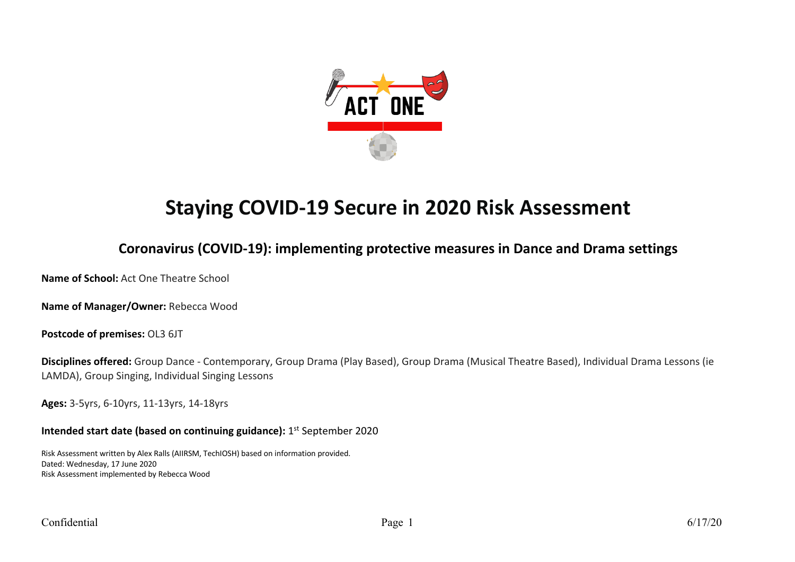

# **Staying COVID-19 Secure in 2020 Risk Assessment**

## **Coronavirus (COVID-19): implementing protective measures in Dance and Drama settings**

**Name of School:** Act One Theatre School

**Name of Manager/Owner:** Rebecca Wood

**Postcode of premises:** OL3 6JT

**Disciplines offered:** Group Dance - Contemporary, Group Drama (Play Based), Group Drama (Musical Theatre Based), Individual Drama Lessons (ie LAMDA), Group Singing, Individual Singing Lessons

**Ages:** 3-5yrs, 6-10yrs, 11-13yrs, 14-18yrs

**Intended start date (based on continuing guidance):** 1st September 2020

Risk Assessment written by Alex Ralls (AIIRSM, TechIOSH) based on information provided. Dated: Wednesday, 17 June 2020 Risk Assessment implemented by Rebecca Wood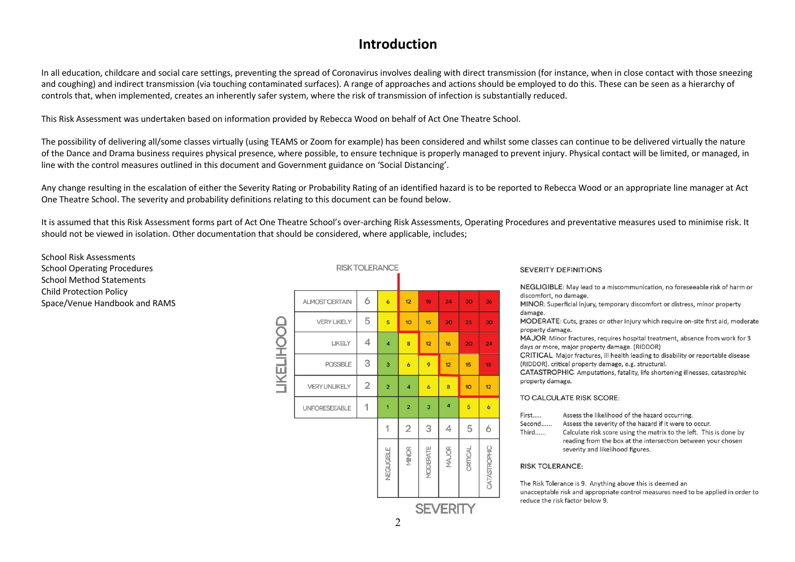### **Introduction**

In all education, childcare and social care settings, preventing the spread of Coronavirus involves dealing with direct transmission (for instance, when in close contact with those sneezing and coughing) and indirect transmission (via touching contaminated surfaces). A range of approaches and actions should be employed to do this. These can be seen as a hierarchy of controls that, when implemented, creates an inherently safer system, where the risk of transmission of infection is substantially reduced.

This Risk Assessment was undertaken based on information provided by Rebecca Wood on behalf of Act One Theatre School.

The possibility of delivering all/some classes virtually (using TEAMS or Zoom for example) has been considered and whilst some classes can continue to be delivered virtually the nature of the Dance and Drama business requires physical presence, where possible, to ensure technique is properly managed to prevent injury. Physical contact will be limited, or managed, in line with the control measures outlined in this document and Government guidance on 'Social Distancing'.

Any change resulting in the escalation of either the Severity Rating or Probability Rating of an identified hazard is to be reported to Rebecca Wood or an appropriate line manager at Act One Theatre School. The severity and probability definitions relating to this document can be found below.

It is assumed that this Risk Assessment forms part of Act One Theatre School's over-arching Risk Assessments, Operating Procedures and preventative measures used to minimise risk. It should not be viewed in isolation. Other documentation that should be considered, where applicable, includes;

School Risk Assessments School Operating Procedures School Method Statements Child Protection Policy Space/Venue Handbook and RAMS

|                   |                       |                | <b>RISK TOLERANCE</b>   |                         |                     |                 |          |                |
|-------------------|-----------------------|----------------|-------------------------|-------------------------|---------------------|-----------------|----------|----------------|
|                   |                       |                |                         |                         |                     |                 |          |                |
|                   | <b>ALMOST CERTAIN</b> | 6              | $\ddot{\mathbf{6}}$     | 12                      | 18                  | 24              | 30       | 36             |
|                   | <b>VERY LIKELY</b>    | 5              | 5                       | 10                      | 15                  | 20              | 25       | 30             |
| <b>TIKETIHOOD</b> | <b>LIKELY</b>         | 4              | $\overline{\mathbf{4}}$ | 8                       | 12                  | 16              | 20       | 24             |
|                   | <b>POSSIBLE</b>       | 3              | 3                       | $\ddot{\mathbf{6}}$     | 9                   | 12              | 15       | 18             |
|                   | <b>VERYUNLIKELY</b>   | $\overline{2}$ | $\overline{a}$          | $\overline{\mathbf{4}}$ | $\ddot{\mathbf{6}}$ | 8               | 10       | 12             |
|                   | <b>UNFORESEEABLE</b>  | 1              | $\overline{1}$          | $\overline{a}$          | 3                   | 4               | 5        | $\overline{6}$ |
|                   |                       |                | 1                       | $\overline{2}$          | 3                   | 4               | 5        | 6              |
|                   |                       |                | NEGLIGIBLE              | MINOR                   | MODERATE            | MAJOR           | CRITICAL | CATASTROPHIC   |
|                   |                       |                |                         |                         |                     | <b>SEVERITY</b> |          |                |

#### **SEVERITY DEFINITIONS**

NEGLIGIBLE: May lead to a miscommunication, no foreseeable risk of harm or discomfort, no damage.

MINOR: Superficial injury, temporary discomfort or distress, minor property damage.

MODERATE: Cuts, grazes or other injury which require on-site first aid, moderate property damage.

MAJOR: Minor fractures, requires hospital treatment, absence from work for 3 days or more, major property damage. (RIDDOR)

CRITICAL: Major fractures, ill health leading to disability or reportable disease (RIDDOR), critical property damage, e.g. structural.

CATASTROPHIC: Amputations, fatality, life shortening illnesses, catastrophic property damage.

#### TO CALCULATE RISK SCORE:

- First..... Assess the likelihood of the hazard occurring
- Second...... Assess the severity of the hazard if it were to occur.
- Third...... Calculate risk score using the matrix to the left. This is done by reading from the box at the intersection between your chosen severity and likelihood figures.

#### **RISK TOLERANCE:**

The Risk Tolerance is 9. Anything above this is deemed an unacceptable risk and appropriate control measures need to be applied in order to reduce the risk factor below 9.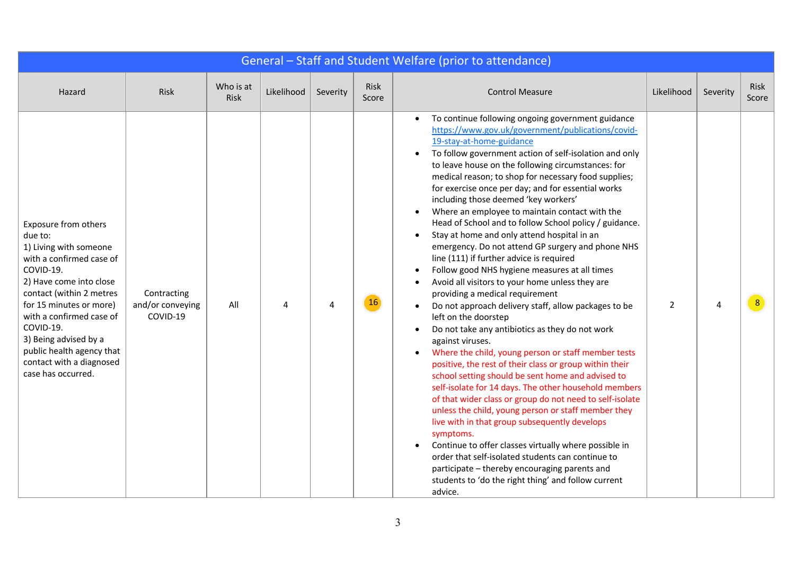|                                                                                                                                                                                                                                                                                                                                              |                                             |                   |            |          |               | General - Staff and Student Welfare (prior to attendance)                                                                                                                                                                                                                                                                                                                                                                                                                                                                                                                                                                                                                                                                                                                                                                                                                                                                                                                                                                                                                                                                                                                                                                                                                                                                                                                                                                                                                                                                                                                                                                                      |                |          |               |
|----------------------------------------------------------------------------------------------------------------------------------------------------------------------------------------------------------------------------------------------------------------------------------------------------------------------------------------------|---------------------------------------------|-------------------|------------|----------|---------------|------------------------------------------------------------------------------------------------------------------------------------------------------------------------------------------------------------------------------------------------------------------------------------------------------------------------------------------------------------------------------------------------------------------------------------------------------------------------------------------------------------------------------------------------------------------------------------------------------------------------------------------------------------------------------------------------------------------------------------------------------------------------------------------------------------------------------------------------------------------------------------------------------------------------------------------------------------------------------------------------------------------------------------------------------------------------------------------------------------------------------------------------------------------------------------------------------------------------------------------------------------------------------------------------------------------------------------------------------------------------------------------------------------------------------------------------------------------------------------------------------------------------------------------------------------------------------------------------------------------------------------------------|----------------|----------|---------------|
| Hazard                                                                                                                                                                                                                                                                                                                                       | Risk                                        | Who is at<br>Risk | Likelihood | Severity | Risk<br>Score | <b>Control Measure</b>                                                                                                                                                                                                                                                                                                                                                                                                                                                                                                                                                                                                                                                                                                                                                                                                                                                                                                                                                                                                                                                                                                                                                                                                                                                                                                                                                                                                                                                                                                                                                                                                                         | Likelihood     | Severity | Risk<br>Score |
| <b>Exposure from others</b><br>due to:<br>1) Living with someone<br>with a confirmed case of<br>COVID-19.<br>2) Have come into close<br>contact (within 2 metres<br>for 15 minutes or more)<br>with a confirmed case of<br>COVID-19.<br>3) Being advised by a<br>public health agency that<br>contact with a diagnosed<br>case has occurred. | Contracting<br>and/or conveying<br>COVID-19 | All               | 4          |          | 16            | To continue following ongoing government guidance<br>$\bullet$<br>https://www.gov.uk/government/publications/covid-<br>19-stay-at-home-guidance<br>To follow government action of self-isolation and only<br>$\bullet$<br>to leave house on the following circumstances: for<br>medical reason; to shop for necessary food supplies;<br>for exercise once per day; and for essential works<br>including those deemed 'key workers'<br>Where an employee to maintain contact with the<br>Head of School and to follow School policy / guidance.<br>Stay at home and only attend hospital in an<br>emergency. Do not attend GP surgery and phone NHS<br>line (111) if further advice is required<br>Follow good NHS hygiene measures at all times<br>Avoid all visitors to your home unless they are<br>providing a medical requirement<br>Do not approach delivery staff, allow packages to be<br>left on the doorstep<br>Do not take any antibiotics as they do not work<br>against viruses.<br>Where the child, young person or staff member tests<br>positive, the rest of their class or group within their<br>school setting should be sent home and advised to<br>self-isolate for 14 days. The other household members<br>of that wider class or group do not need to self-isolate<br>unless the child, young person or staff member they<br>live with in that group subsequently develops<br>symptoms.<br>Continue to offer classes virtually where possible in<br>order that self-isolated students can continue to<br>participate - thereby encouraging parents and<br>students to 'do the right thing' and follow current<br>advice. | $\overline{2}$ | Λ        |               |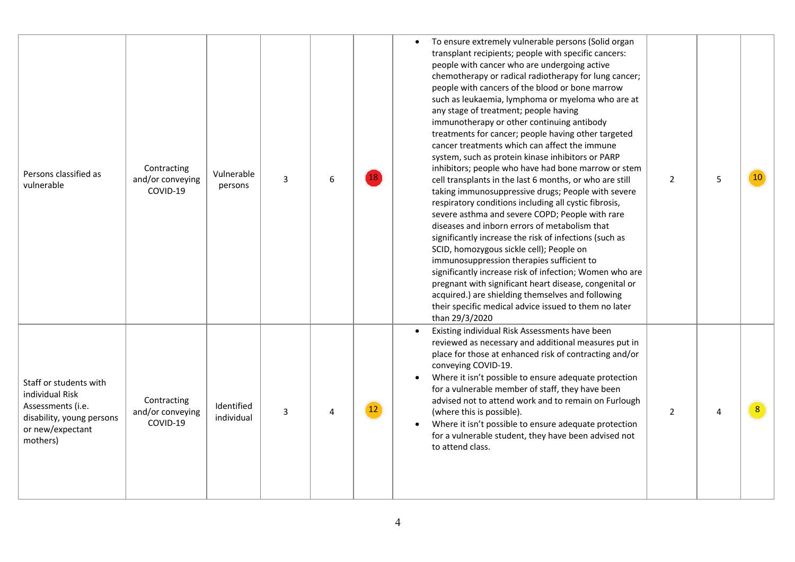| Persons classified as<br>vulnerable                                                                                         | Contracting<br>and/or conveying<br>COVID-19 | Vulnerable<br>persons    | $\mathbf{3}$ | 6 |                   | To ensure extremely vulnerable persons (Solid organ<br>$\bullet$<br>transplant recipients; people with specific cancers:<br>people with cancer who are undergoing active<br>chemotherapy or radical radiotherapy for lung cancer;<br>people with cancers of the blood or bone marrow<br>such as leukaemia, lymphoma or myeloma who are at<br>any stage of treatment; people having<br>immunotherapy or other continuing antibody<br>treatments for cancer; people having other targeted<br>cancer treatments which can affect the immune<br>system, such as protein kinase inhibitors or PARP<br>inhibitors; people who have had bone marrow or stem<br>cell transplants in the last 6 months, or who are still<br>taking immunosuppressive drugs; People with severe<br>respiratory conditions including all cystic fibrosis,<br>severe asthma and severe COPD; People with rare<br>diseases and inborn errors of metabolism that<br>significantly increase the risk of infections (such as<br>SCID, homozygous sickle cell); People on<br>immunosuppression therapies sufficient to<br>significantly increase risk of infection; Women who are<br>pregnant with significant heart disease, congenital or<br>acquired.) are shielding themselves and following<br>their specific medical advice issued to them no later<br>than 29/3/2020 | $\overline{2}$ | 5              | 10             |
|-----------------------------------------------------------------------------------------------------------------------------|---------------------------------------------|--------------------------|--------------|---|-------------------|--------------------------------------------------------------------------------------------------------------------------------------------------------------------------------------------------------------------------------------------------------------------------------------------------------------------------------------------------------------------------------------------------------------------------------------------------------------------------------------------------------------------------------------------------------------------------------------------------------------------------------------------------------------------------------------------------------------------------------------------------------------------------------------------------------------------------------------------------------------------------------------------------------------------------------------------------------------------------------------------------------------------------------------------------------------------------------------------------------------------------------------------------------------------------------------------------------------------------------------------------------------------------------------------------------------------------------------------|----------------|----------------|----------------|
| Staff or students with<br>individual Risk<br>Assessments (i.e.<br>disability, young persons<br>or new/expectant<br>mothers) | Contracting<br>and/or conveying<br>COVID-19 | Identified<br>individual | $\mathbf{3}$ | 4 | $12 \overline{ }$ | Existing individual Risk Assessments have been<br>reviewed as necessary and additional measures put in<br>place for those at enhanced risk of contracting and/or<br>conveying COVID-19.<br>Where it isn't possible to ensure adequate protection<br>for a vulnerable member of staff, they have been<br>advised not to attend work and to remain on Furlough<br>(where this is possible).<br>Where it isn't possible to ensure adequate protection<br>for a vulnerable student, they have been advised not<br>to attend class.                                                                                                                                                                                                                                                                                                                                                                                                                                                                                                                                                                                                                                                                                                                                                                                                             | $\overline{2}$ | $\overline{4}$ | 8 <sup>°</sup> |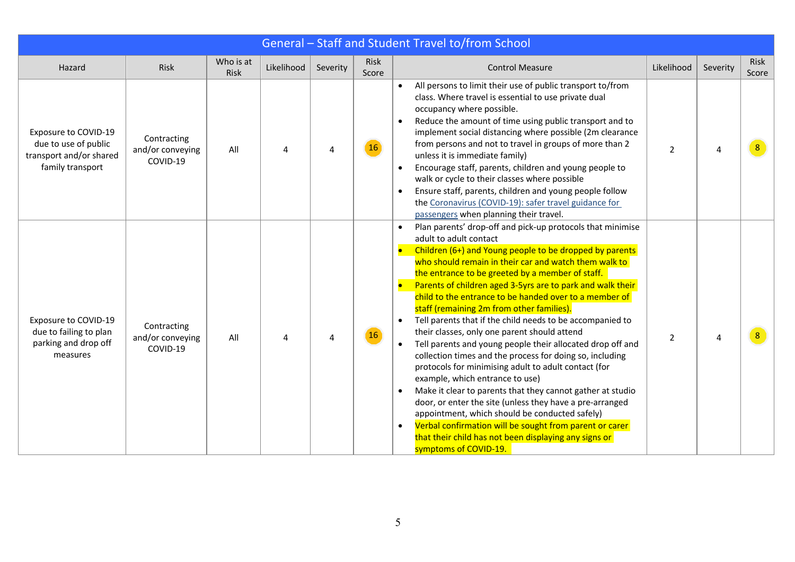| General - Staff and Student Travel to/from School                                           |                                             |                   |            |          |               |                                                                                                                                                                                                                                                                                                                                                                                                                                                                                                                                                                                                                                                                                                                                                                                                                                                                                                                                                                                                                                                                                                           |                |          |               |  |  |  |
|---------------------------------------------------------------------------------------------|---------------------------------------------|-------------------|------------|----------|---------------|-----------------------------------------------------------------------------------------------------------------------------------------------------------------------------------------------------------------------------------------------------------------------------------------------------------------------------------------------------------------------------------------------------------------------------------------------------------------------------------------------------------------------------------------------------------------------------------------------------------------------------------------------------------------------------------------------------------------------------------------------------------------------------------------------------------------------------------------------------------------------------------------------------------------------------------------------------------------------------------------------------------------------------------------------------------------------------------------------------------|----------------|----------|---------------|--|--|--|
| Hazard                                                                                      | Risk                                        | Who is at<br>Risk | Likelihood | Severity | Risk<br>Score | <b>Control Measure</b>                                                                                                                                                                                                                                                                                                                                                                                                                                                                                                                                                                                                                                                                                                                                                                                                                                                                                                                                                                                                                                                                                    | Likelihood     | Severity | Risk<br>Score |  |  |  |
| Exposure to COVID-19<br>due to use of public<br>transport and/or shared<br>family transport | Contracting<br>and/or conveying<br>COVID-19 | All               | Δ          | Δ        | 16            | All persons to limit their use of public transport to/from<br>class. Where travel is essential to use private dual<br>occupancy where possible.<br>Reduce the amount of time using public transport and to<br>implement social distancing where possible (2m clearance<br>from persons and not to travel in groups of more than 2<br>unless it is immediate family)<br>Encourage staff, parents, children and young people to<br>walk or cycle to their classes where possible<br>Ensure staff, parents, children and young people follow<br>the Coronavirus (COVID-19): safer travel guidance for<br>passengers when planning their travel.                                                                                                                                                                                                                                                                                                                                                                                                                                                              | $\overline{2}$ | Δ        | 8             |  |  |  |
| Exposure to COVID-19<br>due to failing to plan<br>parking and drop off<br>measures          | Contracting<br>and/or conveying<br>COVID-19 | All               | 4          |          | 16            | Plan parents' drop-off and pick-up protocols that minimise<br>adult to adult contact<br>Children (6+) and Young people to be dropped by parents<br>who should remain in their car and watch them walk to<br>the entrance to be greeted by a member of staff.<br>Parents of children aged 3-5yrs are to park and walk their<br>child to the entrance to be handed over to a member of<br>staff (remaining 2m from other families).<br>Tell parents that if the child needs to be accompanied to<br>their classes, only one parent should attend<br>Tell parents and young people their allocated drop off and<br>collection times and the process for doing so, including<br>protocols for minimising adult to adult contact (for<br>example, which entrance to use)<br>Make it clear to parents that they cannot gather at studio<br>door, or enter the site (unless they have a pre-arranged<br>appointment, which should be conducted safely)<br>Verbal confirmation will be sought from parent or carer<br>$\bullet$<br>that their child has not been displaying any signs or<br>symptoms of COVID-19. | $\overline{2}$ |          |               |  |  |  |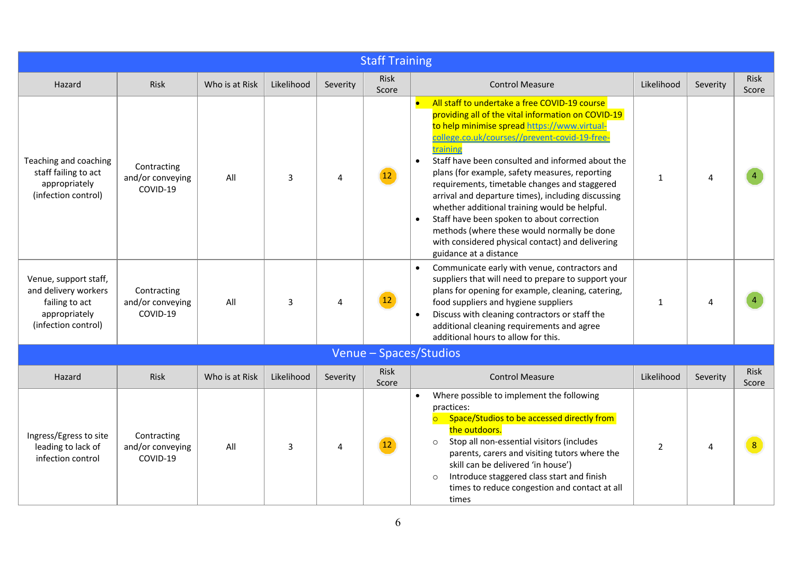|                                                                                                         | <b>Staff Training</b>                       |                |            |          |                      |                                                                                                                                                                                                                                                                                                                                                                                                                                                                                                                                                                                                                                                                                     |                |                |                      |  |  |  |
|---------------------------------------------------------------------------------------------------------|---------------------------------------------|----------------|------------|----------|----------------------|-------------------------------------------------------------------------------------------------------------------------------------------------------------------------------------------------------------------------------------------------------------------------------------------------------------------------------------------------------------------------------------------------------------------------------------------------------------------------------------------------------------------------------------------------------------------------------------------------------------------------------------------------------------------------------------|----------------|----------------|----------------------|--|--|--|
| Hazard                                                                                                  | Risk                                        | Who is at Risk | Likelihood | Severity | <b>Risk</b><br>Score | <b>Control Measure</b>                                                                                                                                                                                                                                                                                                                                                                                                                                                                                                                                                                                                                                                              | Likelihood     | Severity       | <b>Risk</b><br>Score |  |  |  |
| Teaching and coaching<br>staff failing to act<br>appropriately<br>(infection control)                   | Contracting<br>and/or conveying<br>COVID-19 | All            | 3          | 4        | 12 <sup>2</sup>      | $\bullet$<br>All staff to undertake a free COVID-19 course<br>providing all of the vital information on COVID-19<br>to help minimise spread https://www.virtual-<br>college.co.uk/courses//prevent-covid-19-free-<br>training<br>Staff have been consulted and informed about the<br>$\bullet$<br>plans (for example, safety measures, reporting<br>requirements, timetable changes and staggered<br>arrival and departure times), including discussing<br>whether additional training would be helpful.<br>Staff have been spoken to about correction<br>methods (where these would normally be done<br>with considered physical contact) and delivering<br>guidance at a distance | $\mathbf{1}$   | $\Delta$       |                      |  |  |  |
| Venue, support staff,<br>and delivery workers<br>failing to act<br>appropriately<br>(infection control) | Contracting<br>and/or conveying<br>COVID-19 | All            | 3          | 4        | 12                   | Communicate early with venue, contractors and<br>suppliers that will need to prepare to support your<br>plans for opening for example, cleaning, catering,<br>food suppliers and hygiene suppliers<br>Discuss with cleaning contractors or staff the<br>additional cleaning requirements and agree<br>additional hours to allow for this.                                                                                                                                                                                                                                                                                                                                           | 1              | $\Lambda$      |                      |  |  |  |
|                                                                                                         |                                             |                |            |          |                      | Venue - Spaces/Studios                                                                                                                                                                                                                                                                                                                                                                                                                                                                                                                                                                                                                                                              |                |                |                      |  |  |  |
| Hazard                                                                                                  | <b>Risk</b>                                 | Who is at Risk | Likelihood | Severity | Risk<br>Score        | <b>Control Measure</b>                                                                                                                                                                                                                                                                                                                                                                                                                                                                                                                                                                                                                                                              | Likelihood     | Severity       | Risk<br>Score        |  |  |  |
| Ingress/Egress to site<br>leading to lack of<br>infection control                                       | Contracting<br>and/or conveying<br>COVID-19 | All            | 3          | 4        |                      | Where possible to implement the following<br>practices:<br>Space/Studios to be accessed directly from<br>$\overline{\bigcirc}$<br>the outdoors.<br>Stop all non-essential visitors (includes<br>$\circ$<br>parents, carers and visiting tutors where the<br>skill can be delivered 'in house')<br>Introduce staggered class start and finish<br>$\circ$<br>times to reduce congestion and contact at all<br>times                                                                                                                                                                                                                                                                   | $\overline{2}$ | $\overline{a}$ | 8 <sup>°</sup>       |  |  |  |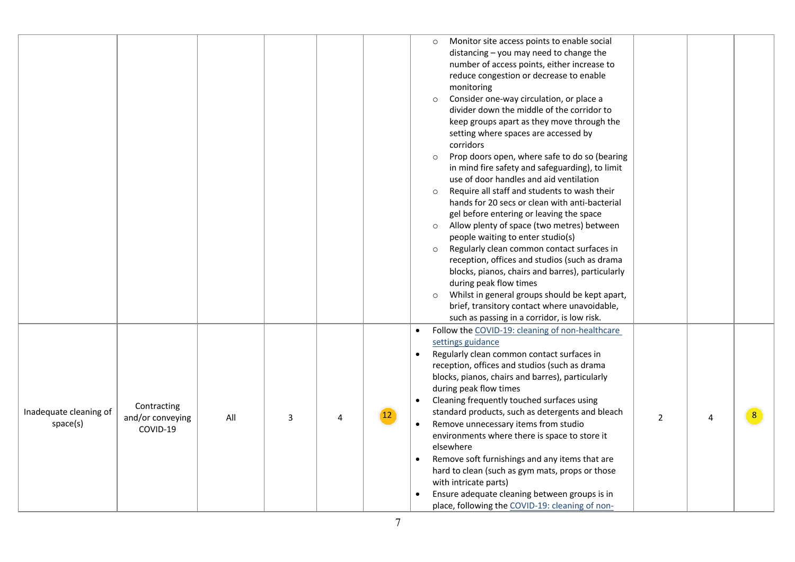|                                    |                                             |     |   |   |              | Monitor site access points to enable social<br>$\circ$<br>distancing - you may need to change the<br>number of access points, either increase to<br>reduce congestion or decrease to enable<br>monitoring<br>Consider one-way circulation, or place a<br>$\circ$<br>divider down the middle of the corridor to<br>keep groups apart as they move through the<br>setting where spaces are accessed by<br>corridors<br>Prop doors open, where safe to do so (bearing<br>$\circ$<br>in mind fire safety and safeguarding), to limit<br>use of door handles and aid ventilation<br>Require all staff and students to wash their<br>$\circ$<br>hands for 20 secs or clean with anti-bacterial<br>gel before entering or leaving the space<br>Allow plenty of space (two metres) between<br>$\circ$<br>people waiting to enter studio(s)<br>Regularly clean common contact surfaces in<br>$\circ$<br>reception, offices and studios (such as drama<br>blocks, pianos, chairs and barres), particularly<br>during peak flow times<br>Whilst in general groups should be kept apart,<br>$\circ$<br>brief, transitory contact where unavoidable,<br>such as passing in a corridor, is low risk. |  |
|------------------------------------|---------------------------------------------|-----|---|---|--------------|----------------------------------------------------------------------------------------------------------------------------------------------------------------------------------------------------------------------------------------------------------------------------------------------------------------------------------------------------------------------------------------------------------------------------------------------------------------------------------------------------------------------------------------------------------------------------------------------------------------------------------------------------------------------------------------------------------------------------------------------------------------------------------------------------------------------------------------------------------------------------------------------------------------------------------------------------------------------------------------------------------------------------------------------------------------------------------------------------------------------------------------------------------------------------------------|--|
| Inadequate cleaning of<br>space(s) | Contracting<br>and/or conveying<br>COVID-19 | All | 3 | 4 | $12^{\circ}$ | Follow the COVID-19: cleaning of non-healthcare<br>$\bullet$<br>settings guidance<br>Regularly clean common contact surfaces in<br>reception, offices and studios (such as drama<br>blocks, pianos, chairs and barres), particularly<br>during peak flow times<br>Cleaning frequently touched surfaces using<br>$\bullet$<br>standard products, such as detergents and bleach<br>8<br>$\overline{2}$<br>4<br>Remove unnecessary items from studio<br>environments where there is space to store it<br>elsewhere<br>Remove soft furnishings and any items that are<br>hard to clean (such as gym mats, props or those<br>with intricate parts)<br>Ensure adequate cleaning between groups is in<br>place, following the COVID-19: cleaning of non-                                                                                                                                                                                                                                                                                                                                                                                                                                      |  |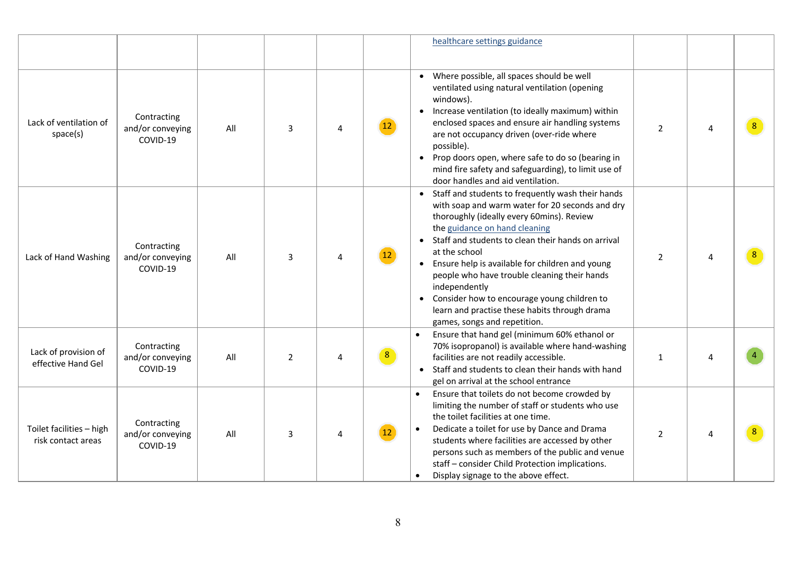|                                                |                                             |     |                |   |                        | healthcare settings guidance                                                                                                                                                                                                                                                                                                                                                                                                                                                                                    |                |   |  |
|------------------------------------------------|---------------------------------------------|-----|----------------|---|------------------------|-----------------------------------------------------------------------------------------------------------------------------------------------------------------------------------------------------------------------------------------------------------------------------------------------------------------------------------------------------------------------------------------------------------------------------------------------------------------------------------------------------------------|----------------|---|--|
| Lack of ventilation of<br>space(s)             | Contracting<br>and/or conveying<br>COVID-19 | All | 3              | 4 | $12^{\circ}$           | Where possible, all spaces should be well<br>ventilated using natural ventilation (opening<br>windows).<br>Increase ventilation (to ideally maximum) within<br>enclosed spaces and ensure air handling systems<br>are not occupancy driven (over-ride where<br>possible).<br>Prop doors open, where safe to do so (bearing in<br>mind fire safety and safeguarding), to limit use of<br>door handles and aid ventilation.                                                                                       | $\overline{2}$ | 4 |  |
| Lack of Hand Washing                           | Contracting<br>and/or conveying<br>COVID-19 | All | 3              | 4 | $12^{\circ}$           | Staff and students to frequently wash their hands<br>with soap and warm water for 20 seconds and dry<br>thoroughly (ideally every 60mins). Review<br>the guidance on hand cleaning<br>Staff and students to clean their hands on arrival<br>at the school<br>• Ensure help is available for children and young<br>people who have trouble cleaning their hands<br>independently<br>Consider how to encourage young children to<br>learn and practise these habits through drama<br>games, songs and repetition. | $\overline{2}$ | 4 |  |
| Lack of provision of<br>effective Hand Gel     | Contracting<br>and/or conveying<br>COVID-19 | All | $\overline{2}$ | 4 | $\left 8\right\rangle$ | Ensure that hand gel (minimum 60% ethanol or<br>70% isopropanol) is available where hand-washing<br>facilities are not readily accessible.<br>Staff and students to clean their hands with hand<br>gel on arrival at the school entrance                                                                                                                                                                                                                                                                        | 1              | 4 |  |
| Toilet facilities - high<br>risk contact areas | Contracting<br>and/or conveying<br>COVID-19 | All | 3              | 4 | 12 <sup>2</sup>        | Ensure that toilets do not become crowded by<br>limiting the number of staff or students who use<br>the toilet facilities at one time.<br>Dedicate a toilet for use by Dance and Drama<br>students where facilities are accessed by other<br>persons such as members of the public and venue<br>staff - consider Child Protection implications.<br>Display signage to the above effect.<br>$\bullet$                                                                                                            | $\overline{2}$ | 4 |  |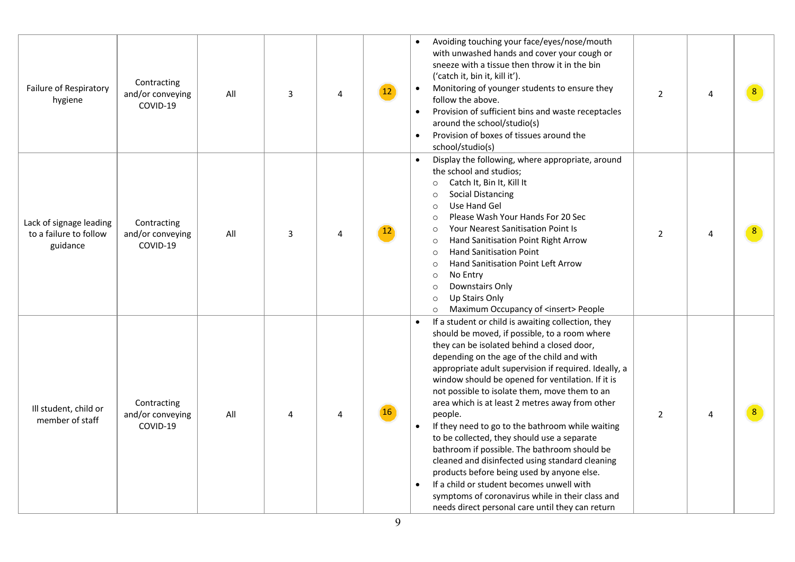| Failure of Respiratory<br>hygiene                             | Contracting<br>and/or conveying<br>COVID-19 | All | 3 | 4 | 12 <sup>°</sup> | Avoiding touching your face/eyes/nose/mouth<br>with unwashed hands and cover your cough or<br>sneeze with a tissue then throw it in the bin<br>('catch it, bin it, kill it').<br>Monitoring of younger students to ensure they<br>$\bullet$<br>follow the above.<br>Provision of sufficient bins and waste receptacles<br>$\bullet$<br>around the school/studio(s)<br>Provision of boxes of tissues around the<br>$\bullet$<br>school/studio(s)                                                                                                                                                                                                                                                                                                                                                                                                                 | $\overline{2}$ | 4 |  |
|---------------------------------------------------------------|---------------------------------------------|-----|---|---|-----------------|-----------------------------------------------------------------------------------------------------------------------------------------------------------------------------------------------------------------------------------------------------------------------------------------------------------------------------------------------------------------------------------------------------------------------------------------------------------------------------------------------------------------------------------------------------------------------------------------------------------------------------------------------------------------------------------------------------------------------------------------------------------------------------------------------------------------------------------------------------------------|----------------|---|--|
| Lack of signage leading<br>to a failure to follow<br>guidance | Contracting<br>and/or conveying<br>COVID-19 | All | 3 | 4 | $12^{\circ}$    | Display the following, where appropriate, around<br>$\bullet$<br>the school and studios;<br>Catch It, Bin It, Kill It<br>$\circ$<br><b>Social Distancing</b><br>$\circ$<br>Use Hand Gel<br>$\circ$<br>Please Wash Your Hands For 20 Sec<br>$\circ$<br><b>Your Nearest Sanitisation Point Is</b><br>$\circ$<br>Hand Sanitisation Point Right Arrow<br>$\circ$<br><b>Hand Sanitisation Point</b><br>$\circ$<br>Hand Sanitisation Point Left Arrow<br>$\circ$<br>No Entry<br>$\circ$<br>Downstairs Only<br>$\circ$<br>Up Stairs Only<br>$\circ$<br>Maximum Occupancy of <insert> People<br/><math display="inline">\circ</math></insert>                                                                                                                                                                                                                           | $\overline{2}$ | 4 |  |
| Ill student, child or<br>member of staff                      | Contracting<br>and/or conveying<br>COVID-19 | All | Δ | 4 | <b>16</b>       | If a student or child is awaiting collection, they<br>should be moved, if possible, to a room where<br>they can be isolated behind a closed door,<br>depending on the age of the child and with<br>appropriate adult supervision if required. Ideally, a<br>window should be opened for ventilation. If it is<br>not possible to isolate them, move them to an<br>area which is at least 2 metres away from other<br>people.<br>If they need to go to the bathroom while waiting<br>$\bullet$<br>to be collected, they should use a separate<br>bathroom if possible. The bathroom should be<br>cleaned and disinfected using standard cleaning<br>products before being used by anyone else.<br>If a child or student becomes unwell with<br>$\bullet$<br>symptoms of coronavirus while in their class and<br>needs direct personal care until they can return | $\overline{2}$ | 4 |  |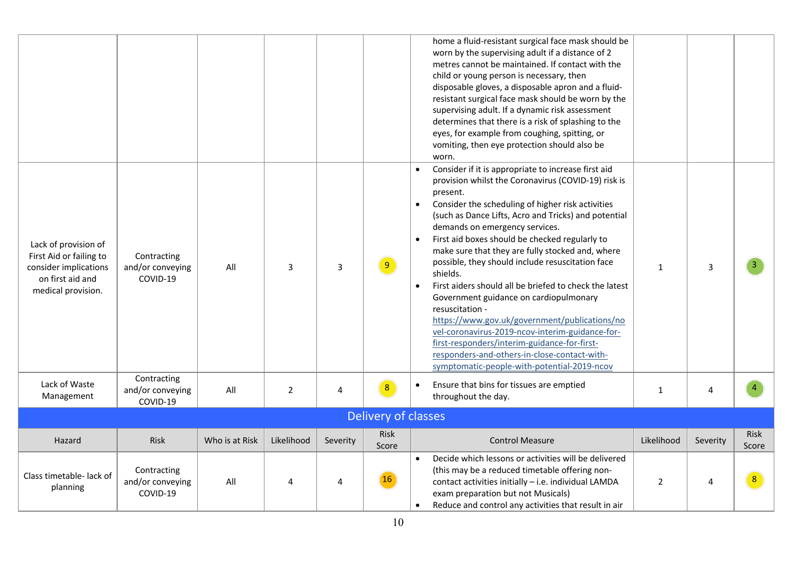|                                                                                                                    |                                             |                |                |          |                      | home a fluid-resistant surgical face mask should be<br>worn by the supervising adult if a distance of 2<br>metres cannot be maintained. If contact with the<br>child or young person is necessary, then<br>disposable gloves, a disposable apron and a fluid-<br>resistant surgical face mask should be worn by the<br>supervising adult. If a dynamic risk assessment<br>determines that there is a risk of splashing to the<br>eyes, for example from coughing, spitting, or<br>vomiting, then eye protection should also be<br>worn.                                                                                                                                                                                                                                                                                                                                   |                |          |                      |
|--------------------------------------------------------------------------------------------------------------------|---------------------------------------------|----------------|----------------|----------|----------------------|---------------------------------------------------------------------------------------------------------------------------------------------------------------------------------------------------------------------------------------------------------------------------------------------------------------------------------------------------------------------------------------------------------------------------------------------------------------------------------------------------------------------------------------------------------------------------------------------------------------------------------------------------------------------------------------------------------------------------------------------------------------------------------------------------------------------------------------------------------------------------|----------------|----------|----------------------|
| Lack of provision of<br>First Aid or failing to<br>consider implications<br>on first aid and<br>medical provision. | Contracting<br>and/or conveying<br>COVID-19 | All            | 3              | 3        | 9 <sup>1</sup>       | Consider if it is appropriate to increase first aid<br>$\bullet$<br>provision whilst the Coronavirus (COVID-19) risk is<br>present.<br>Consider the scheduling of higher risk activities<br>$\bullet$<br>(such as Dance Lifts, Acro and Tricks) and potential<br>demands on emergency services.<br>First aid boxes should be checked regularly to<br>$\bullet$<br>make sure that they are fully stocked and, where<br>possible, they should include resuscitation face<br>shields.<br>First aiders should all be briefed to check the latest<br>$\bullet$<br>Government guidance on cardiopulmonary<br>resuscitation -<br>https://www.gov.uk/government/publications/no<br>vel-coronavirus-2019-ncov-interim-guidance-for-<br>first-responders/interim-guidance-for-first-<br>responders-and-others-in-close-contact-with-<br>symptomatic-people-with-potential-2019-ncov | $\mathbf{1}$   | 3        |                      |
| Lack of Waste<br>Management                                                                                        | Contracting<br>and/or conveying<br>COVID-19 | All            | $\overline{2}$ | 4        | 8 <sup>°</sup>       | Ensure that bins for tissues are emptied<br>$\bullet$<br>throughout the day.                                                                                                                                                                                                                                                                                                                                                                                                                                                                                                                                                                                                                                                                                                                                                                                              | $\mathbf{1}$   | 4        |                      |
|                                                                                                                    |                                             |                |                |          | Delivery of classes  |                                                                                                                                                                                                                                                                                                                                                                                                                                                                                                                                                                                                                                                                                                                                                                                                                                                                           |                |          |                      |
| Hazard                                                                                                             | Risk                                        | Who is at Risk | Likelihood     | Severity | <b>Risk</b><br>Score | <b>Control Measure</b>                                                                                                                                                                                                                                                                                                                                                                                                                                                                                                                                                                                                                                                                                                                                                                                                                                                    | Likelihood     | Severity | <b>Risk</b><br>Score |
| Class timetable- lack of<br>planning                                                                               | Contracting<br>and/or conveying<br>COVID-19 | All            |                |          | <b>16</b>            | Decide which lessons or activities will be delivered<br>$\bullet$<br>(this may be a reduced timetable offering non-<br>contact activities initially - i.e. individual LAMDA<br>exam preparation but not Musicals)<br>Reduce and control any activities that result in air<br>$\bullet$                                                                                                                                                                                                                                                                                                                                                                                                                                                                                                                                                                                    | $\overline{2}$ | 4        | 8                    |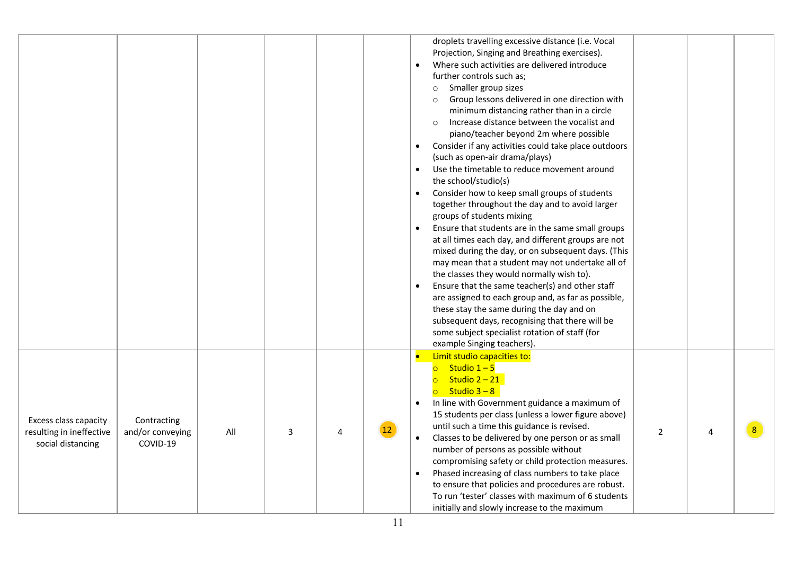|                                                                        |                                             |     |   |   |                 | droplets travelling excessive distance (i.e. Vocal<br>Projection, Singing and Breathing exercises).<br>Where such activities are delivered introduce<br>further controls such as;<br>Smaller group sizes<br>$\circ$<br>Group lessons delivered in one direction with<br>$\circ$<br>minimum distancing rather than in a circle<br>Increase distance between the vocalist and<br>$\circ$<br>piano/teacher beyond 2m where possible<br>Consider if any activities could take place outdoors<br>$\bullet$<br>(such as open-air drama/plays)<br>Use the timetable to reduce movement around<br>$\bullet$<br>the school/studio(s)<br>Consider how to keep small groups of students<br>$\bullet$<br>together throughout the day and to avoid larger<br>groups of students mixing<br>Ensure that students are in the same small groups<br>at all times each day, and different groups are not<br>mixed during the day, or on subsequent days. (This<br>may mean that a student may not undertake all of<br>the classes they would normally wish to).<br>Ensure that the same teacher(s) and other staff<br>are assigned to each group and, as far as possible,<br>these stay the same during the day and on<br>subsequent days, recognising that there will be<br>some subject specialist rotation of staff (for<br>example Singing teachers). |   |  |
|------------------------------------------------------------------------|---------------------------------------------|-----|---|---|-----------------|----------------------------------------------------------------------------------------------------------------------------------------------------------------------------------------------------------------------------------------------------------------------------------------------------------------------------------------------------------------------------------------------------------------------------------------------------------------------------------------------------------------------------------------------------------------------------------------------------------------------------------------------------------------------------------------------------------------------------------------------------------------------------------------------------------------------------------------------------------------------------------------------------------------------------------------------------------------------------------------------------------------------------------------------------------------------------------------------------------------------------------------------------------------------------------------------------------------------------------------------------------------------------------------------------------------------------------------|---|--|
| Excess class capacity<br>resulting in ineffective<br>social distancing | Contracting<br>and/or conveying<br>COVID-19 | All | 3 | 4 | 12 <sup>1</sup> | Limit studio capacities to:<br>$\bullet$<br>Studio $1 - 5$<br>$\overline{\circ}$<br>Studio $2 - 21$<br>Studio $3 - 8$<br>$\overline{\circ}$<br>In line with Government guidance a maximum of<br>$\bullet$<br>15 students per class (unless a lower figure above)<br>until such a time this guidance is revised.<br>$\overline{2}$<br>Classes to be delivered by one person or as small<br>number of persons as possible without<br>compromising safety or child protection measures.<br>Phased increasing of class numbers to take place<br>$\bullet$<br>to ensure that policies and procedures are robust.<br>To run 'tester' classes with maximum of 6 students<br>initially and slowly increase to the maximum                                                                                                                                                                                                                                                                                                                                                                                                                                                                                                                                                                                                                      | 4 |  |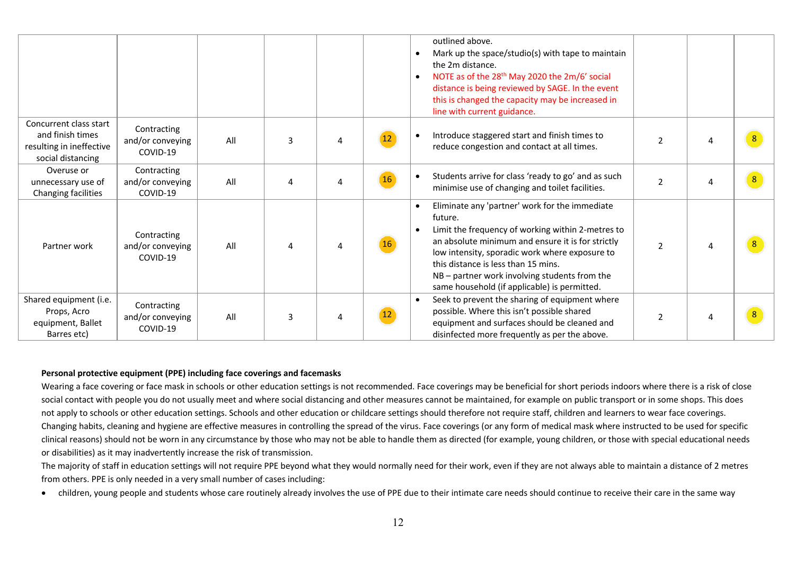|                                                                                             |                                             |     |                         |    | outlined above.<br>Mark up the space/studio(s) with tape to maintain<br>the 2m distance.<br>NOTE as of the 28 <sup>th</sup> May 2020 the 2m/6' social<br>$\bullet$<br>distance is being reviewed by SAGE. In the event<br>this is changed the capacity may be increased in<br>line with current guidance.                                                     |                |   |  |
|---------------------------------------------------------------------------------------------|---------------------------------------------|-----|-------------------------|----|---------------------------------------------------------------------------------------------------------------------------------------------------------------------------------------------------------------------------------------------------------------------------------------------------------------------------------------------------------------|----------------|---|--|
| Concurrent class start<br>and finish times<br>resulting in ineffective<br>social distancing | Contracting<br>and/or conveying<br>COVID-19 | All | 3                       |    | Introduce staggered start and finish times to<br>reduce congestion and contact at all times.                                                                                                                                                                                                                                                                  | $\mathfrak{p}$ |   |  |
| Overuse or<br>unnecessary use of<br>Changing facilities                                     | Contracting<br>and/or conveying<br>COVID-19 | All | 4                       | 16 | Students arrive for class 'ready to go' and as such<br>$\bullet$<br>minimise use of changing and toilet facilities.                                                                                                                                                                                                                                           | $\overline{2}$ | 4 |  |
| Partner work                                                                                | Contracting<br>and/or conveying<br>COVID-19 | All |                         | 16 | Eliminate any 'partner' work for the immediate<br>future.<br>Limit the frequency of working within 2-metres to<br>an absolute minimum and ensure it is for strictly<br>low intensity, sporadic work where exposure to<br>this distance is less than 15 mins.<br>NB - partner work involving students from the<br>same household (if applicable) is permitted. | $\overline{2}$ | 4 |  |
| Shared equipment (i.e.<br>Props, Acro<br>equipment, Ballet<br>Barres etc)                   | Contracting<br>and/or conveying<br>COVID-19 | All | $\overline{\mathbf{3}}$ | 12 | Seek to prevent the sharing of equipment where<br>possible. Where this isn't possible shared<br>equipment and surfaces should be cleaned and<br>disinfected more frequently as per the above.                                                                                                                                                                 | $\overline{2}$ | 4 |  |

#### **Personal protective equipment (PPE) including face coverings and facemasks**

Wearing a face covering or face mask in schools or other education settings is not recommended. Face coverings may be beneficial for short periods indoors where there is a risk of close social contact with people you do not usually meet and where social distancing and other measures cannot be maintained, for example on public transport or in some shops. This does not apply to schools or other education settings. Schools and other education or childcare settings should therefore not require staff, children and learners to wear face coverings. Changing habits, cleaning and hygiene are effective measures in controlling the spread of the virus. Face coverings (or any form of medical mask where instructed to be used for specific clinical reasons) should not be worn in any circumstance by those who may not be able to handle them as directed (for example, young children, or those with special educational needs or disabilities) as it may inadvertently increase the risk of transmission.

The majority of staff in education settings will not require PPE beyond what they would normally need for their work, even if they are not always able to maintain a distance of 2 metres from others. PPE is only needed in a very small number of cases including:

• children, young people and students whose care routinely already involves the use of PPE due to their intimate care needs should continue to receive their care in the same way